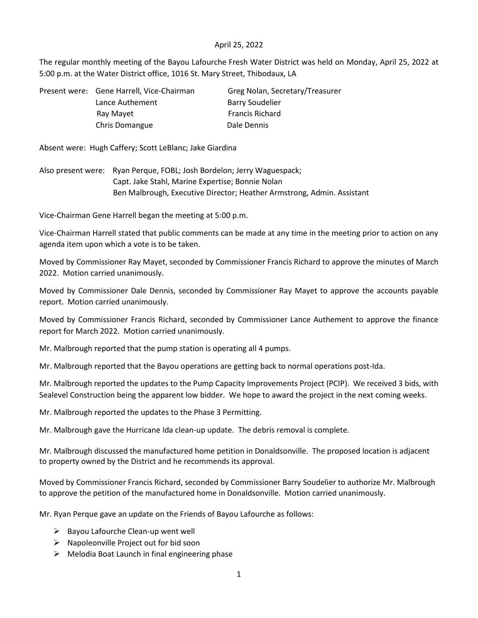## April 25, 2022

The regular monthly meeting of the Bayou Lafourche Fresh Water District was held on Monday, April 25, 2022 at 5:00 p.m. at the Water District office, 1016 St. Mary Street, Thibodaux, LA

| Present were: Gene Harrell, Vice-Chairman | Greg Nolan, Secretary/Treasurer |
|-------------------------------------------|---------------------------------|
| Lance Authement                           | <b>Barry Soudelier</b>          |
| Ray Mayet                                 | <b>Francis Richard</b>          |
| Chris Domangue                            | Dale Dennis                     |

Absent were: Hugh Caffery; Scott LeBlanc; Jake Giardina

Also present were: Ryan Perque, FOBL; Josh Bordelon; Jerry Waguespack; Capt. Jake Stahl, Marine Expertise; Bonnie Nolan Ben Malbrough, Executive Director; Heather Armstrong, Admin. Assistant

Vice-Chairman Gene Harrell began the meeting at 5:00 p.m.

Vice-Chairman Harrell stated that public comments can be made at any time in the meeting prior to action on any agenda item upon which a vote is to be taken.

Moved by Commissioner Ray Mayet, seconded by Commissioner Francis Richard to approve the minutes of March 2022. Motion carried unanimously.

Moved by Commissioner Dale Dennis, seconded by Commissioner Ray Mayet to approve the accounts payable report. Motion carried unanimously.

Moved by Commissioner Francis Richard, seconded by Commissioner Lance Authement to approve the finance report for March 2022. Motion carried unanimously.

Mr. Malbrough reported that the pump station is operating all 4 pumps.

Mr. Malbrough reported that the Bayou operations are getting back to normal operations post-Ida.

Mr. Malbrough reported the updates to the Pump Capacity Improvements Project (PCIP). We received 3 bids, with Sealevel Construction being the apparent low bidder. We hope to award the project in the next coming weeks.

Mr. Malbrough reported the updates to the Phase 3 Permitting.

Mr. Malbrough gave the Hurricane Ida clean-up update. The debris removal is complete.

Mr. Malbrough discussed the manufactured home petition in Donaldsonville. The proposed location is adjacent to property owned by the District and he recommends its approval.

Moved by Commissioner Francis Richard, seconded by Commissioner Barry Soudelier to authorize Mr. Malbrough to approve the petition of the manufactured home in Donaldsonville. Motion carried unanimously.

Mr. Ryan Perque gave an update on the Friends of Bayou Lafourche as follows:

- $\triangleright$  Bayou Lafourche Clean-up went well
- ➢ Napoleonville Project out for bid soon
- ➢ Melodia Boat Launch in final engineering phase